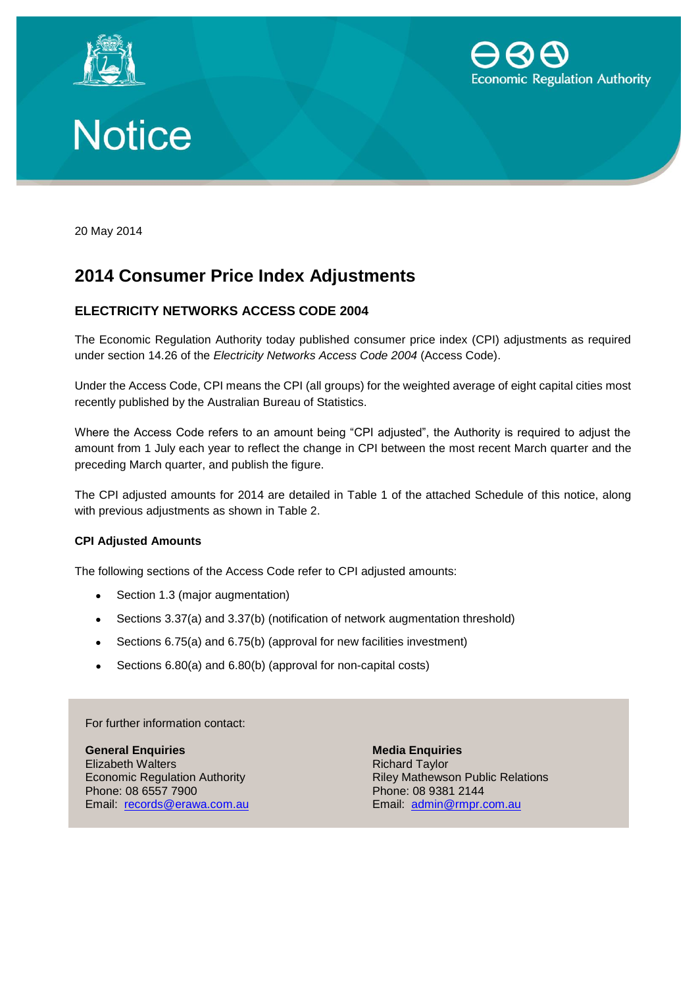





20 May 2014

# **2014 Consumer Price Index Adjustments**

## **ELECTRICITY NETWORKS ACCESS CODE 2004**

The Economic Regulation Authority today published consumer price index (CPI) adjustments as required under section 14.26 of the *Electricity Networks Access Code 2004* (Access Code).

Under the Access Code, CPI means the CPI (all groups) for the weighted average of eight capital cities most recently published by the Australian Bureau of Statistics.

Where the Access Code refers to an amount being "CPI adjusted", the Authority is required to adjust the amount from 1 July each year to reflect the change in CPI between the most recent March quarter and the preceding March quarter, and publish the figure.

The CPI adjusted amounts for 2014 are detailed in Table 1 of the attached Schedule of this notice, along with previous adjustments as shown in Table 2.

### **CPI Adjusted Amounts**

The following sections of the Access Code refer to CPI adjusted amounts:

- Section 1.3 (major augmentation)
- Sections 3.37(a) and 3.37(b) (notification of network augmentation threshold)
- Sections 6.75(a) and 6.75(b) (approval for new facilities investment)
- Sections 6.80(a) and 6.80(b) (approval for non-capital costs)

For further information contact:

**General Enquiries Media Enquiries** Elizabeth Walters **Richard Taylor** Phone: 08 6557 7900 **Phone: 08 9381 2144** Email: [records@erawa.com.au](mailto:%20records@erawa.com.au) Email: [admin@rmpr.com.au](mailto:%20admin@rmpr.com.au)

Economic Regulation Authority **Riley Mathewson Public Relations**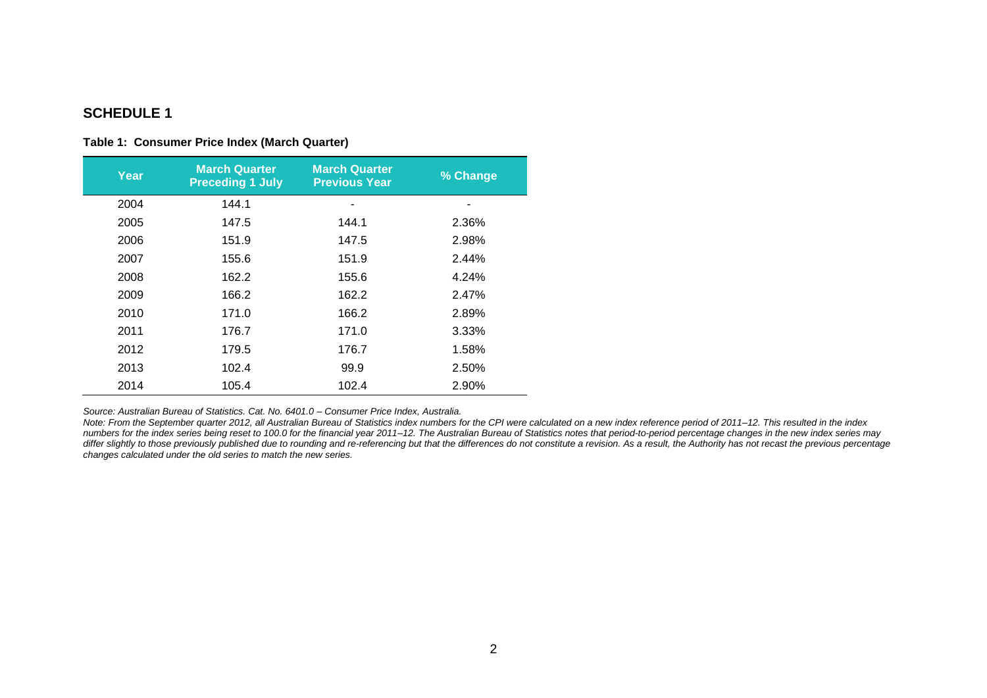## **SCHEDULE 1**

#### **Table 1: Consumer Price Index (March Quarter)**

| Year | <b>March Quarter</b><br><b>Preceding 1 July</b> | <b>March Quarter</b><br><b>Previous Year</b> | % Change |
|------|-------------------------------------------------|----------------------------------------------|----------|
| 2004 | 144.1                                           |                                              |          |
| 2005 | 147.5                                           | 144.1                                        | 2.36%    |
| 2006 | 151.9                                           | 147.5                                        | 2.98%    |
| 2007 | 155.6                                           | 151.9                                        | 2.44%    |
| 2008 | 162.2                                           | 155.6                                        | 4.24%    |
| 2009 | 166.2                                           | 162.2                                        | 2.47%    |
| 2010 | 171.0                                           | 166.2                                        | 2.89%    |
| 2011 | 176.7                                           | 171.0                                        | 3.33%    |
| 2012 | 179.5                                           | 176.7                                        | 1.58%    |
| 2013 | 102.4                                           | 99.9                                         | 2.50%    |
| 2014 | 105.4                                           | 102.4                                        | 2.90%    |

*Source: Australian Bureau of Statistics. Cat. No. 6401.0 – Consumer Price Index, Australia.*

*Note: From the September quarter 2012, all Australian Bureau of Statistics index numbers for the CPI were calculated on a new index reference period of 2011–12. This resulted in the index numbers for the index series being reset to 100.0 for the financial year 2011–12. The Australian Bureau of Statistics notes that period-to-period percentage changes in the new index series may differ slightly to those previously published due to rounding and re-referencing but that the differences do not constitute a revision. As a result, the Authority has not recast the previous percentage changes calculated under the old series to match the new series.*